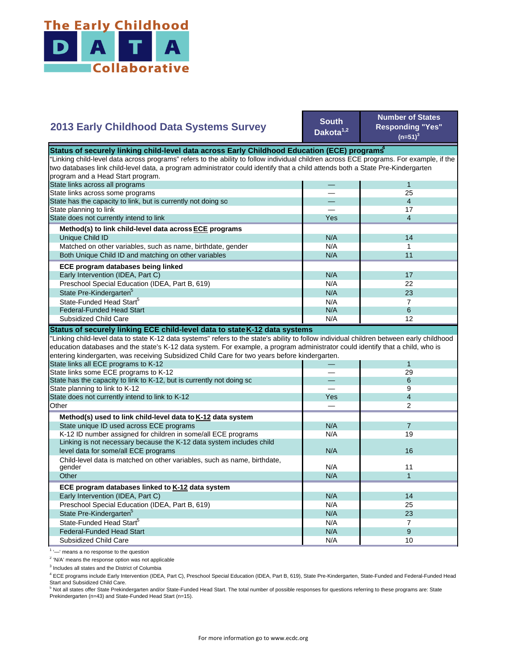

## **2013 Early Childhood Data Systems Survey**

**South Dakota1,2**

**Number of States Responding "Yes"**   $(n=51)^3$ 

| Status of securely linking child-level data across Early Childhood Education (ECE) programs <sup>*</sup>                                  |     |                         |
|-------------------------------------------------------------------------------------------------------------------------------------------|-----|-------------------------|
| 'Linking child-level data across programs" refers to the ability to follow individual children across ECE programs. For example, if the   |     |                         |
| two databases link child-level data, a program administrator could identify that a child attends both a State Pre-Kindergarten            |     |                         |
| program and a Head Start program.                                                                                                         |     |                         |
| State links across all programs                                                                                                           |     | $\mathbf{1}$            |
| State links across some programs                                                                                                          |     | 25                      |
| State has the capacity to link, but is currently not doing so                                                                             |     | $\overline{4}$          |
| State planning to link                                                                                                                    |     | 17                      |
| State does not currently intend to link                                                                                                   | Yes | $\overline{\mathbf{4}}$ |
| Method(s) to link child-level data across ECE programs                                                                                    |     |                         |
| Unique Child ID                                                                                                                           | N/A | 14                      |
| Matched on other variables, such as name, birthdate, gender                                                                               | N/A | 1                       |
| Both Unique Child ID and matching on other variables                                                                                      | N/A | 11                      |
| ECE program databases being linked                                                                                                        |     |                         |
| Early Intervention (IDEA, Part C)                                                                                                         | N/A | 17                      |
| Preschool Special Education (IDEA, Part B, 619)                                                                                           | N/A | 22                      |
| State Pre-Kindergarten <sup>5</sup>                                                                                                       | N/A | 23                      |
| State-Funded Head Start <sup>5</sup>                                                                                                      | N/A | $\overline{7}$          |
| <b>Federal-Funded Head Start</b>                                                                                                          | N/A | 6                       |
| Subsidized Child Care                                                                                                                     | N/A | 12                      |
| Status of securely linking ECE child-level data to state K-12 data systems                                                                |     |                         |
| 'Linking child-level data to state K-12 data systems" refers to the state's ability to follow individual children between early childhood |     |                         |
| education databases and the state's K-12 data system. For example, a program administrator could identify that a child, who is            |     |                         |
| entering kindergarten, was receiving Subsidized Child Care for two years before kindergarten.                                             |     |                         |
| State links all ECE programs to K-12                                                                                                      |     | $\mathbf{1}$            |
| State links some ECE programs to K-12                                                                                                     |     | 29                      |
| State has the capacity to link to K-12, but is currently not doing so                                                                     |     | 6                       |
| State planning to link to K-12                                                                                                            |     | 9                       |
| State does not currently intend to link to K-12                                                                                           | Yes | $\overline{4}$          |
| Other                                                                                                                                     |     | $\mathfrak{p}$          |
| Method(s) used to link child-level data to K-12 data system                                                                               |     |                         |
| State unique ID used across ECE programs                                                                                                  | N/A | $\overline{7}$          |
| K-12 ID number assigned for children in some/all ECE programs                                                                             | N/A | 19                      |
| Linking is not necessary because the K-12 data system includes child                                                                      |     |                         |
| level data for some/all ECE programs                                                                                                      | N/A | 16                      |
| Child-level data is matched on other variables, such as name, birthdate,                                                                  |     |                         |
| gender                                                                                                                                    | N/A | 11                      |
| Other                                                                                                                                     | N/A | $\mathbf{1}$            |
| ECE program databases linked to K-12 data system                                                                                          |     |                         |
| Early Intervention (IDEA, Part C)                                                                                                         | N/A | 14                      |
| Preschool Special Education (IDEA, Part B, 619)                                                                                           | N/A | 25                      |
| State Pre-Kindergarten <sup>5</sup>                                                                                                       | N/A | 23                      |
| State-Funded Head Start <sup>5</sup>                                                                                                      | N/A | $\overline{7}$          |
| <b>Federal-Funded Head Start</b>                                                                                                          | N/A | 9                       |
| Subsidized Child Care                                                                                                                     | N/A | 10                      |
|                                                                                                                                           |     |                         |

 $1$   $-$  means a no response to the question

<sup>2</sup> 'N/A' means the response option was not applicable

<sup>3</sup> Includes all states and the District of Columbia

<sup>4</sup> ECE programs include Early Intervention (IDEA, Part C), Preschool Special Education (IDEA, Part B, 619), State Pre-Kindergarten, State-Funded and Federal-Funded Head

Start and Subsidized Child Care.<br><sup>5</sup> Not all states offer State Prekindergarten and/or State-Funded Head Start. The total number of possible responses for questions referring to these programs are: State Prekindergarten (n=43) and State-Funded Head Start (n=15).